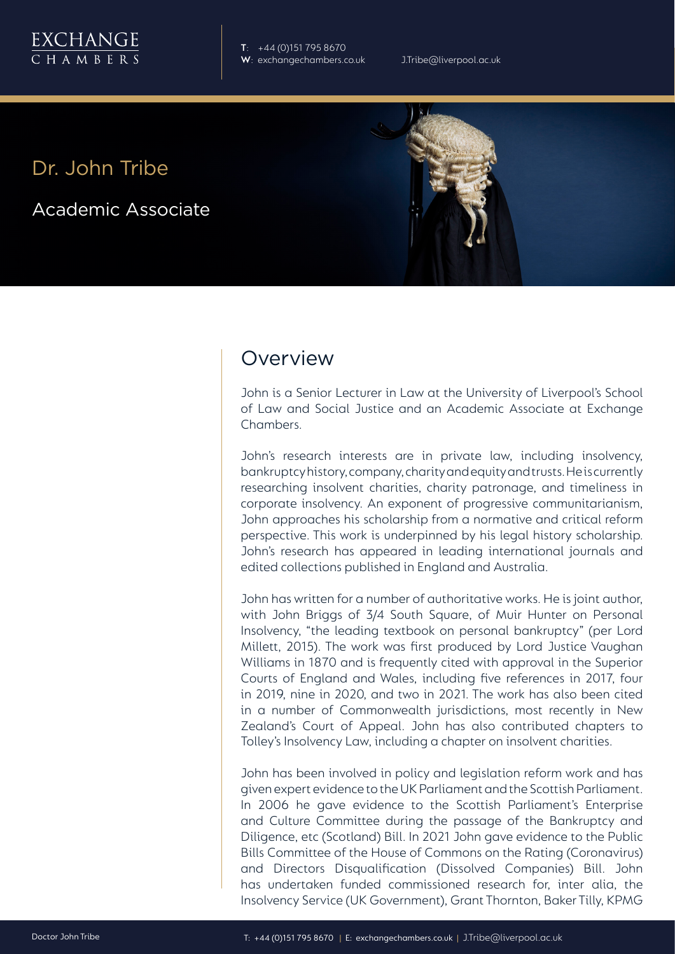

**T**: +44 (0)151 795 8670 **W**: exchangechambers.co.uk J.Tribe@liverpool.ac.uk

## Dr. John Tribe

Academic Associate



## Overview

John is a Senior Lecturer in Law at the University of Liverpool's School of Law and Social Justice and an Academic Associate at Exchange Chambers.

John's research interests are in private law, including insolvency, bankruptcy history, company, charity and equity and trusts. He is currently researching insolvent charities, charity patronage, and timeliness in corporate insolvency. An exponent of progressive communitarianism, John approaches his scholarship from a normative and critical reform perspective. This work is underpinned by his legal history scholarship. John's research has appeared in leading international journals and edited collections published in England and Australia.

John has written for a number of authoritative works. He is joint author, with John Briggs of 3/4 South Square, of Muir Hunter on Personal Insolvency, "the leading textbook on personal bankruptcy" (per Lord Millett, 2015). The work was first produced by Lord Justice Vaughan Williams in 1870 and is frequently cited with approval in the Superior Courts of England and Wales, including five references in 2017, four in 2019, nine in 2020, and two in 2021. The work has also been cited in a number of Commonwealth jurisdictions, most recently in New Zealand's Court of Appeal. John has also contributed chapters to Tolley's Insolvency Law, including a chapter on insolvent charities.

John has been involved in policy and legislation reform work and has given expert evidence to the UK Parliament and the Scottish Parliament. In 2006 he gave evidence to the Scottish Parliament's Enterprise and Culture Committee during the passage of the Bankruptcy and Diligence, etc (Scotland) Bill. In 2021 John gave evidence to the Public Bills Committee of the House of Commons on the Rating (Coronavirus) and Directors Disqualification (Dissolved Companies) Bill. John has undertaken funded commissioned research for, inter alia, the Insolvency Service (UK Government), Grant Thornton, Baker Tilly, KPMG